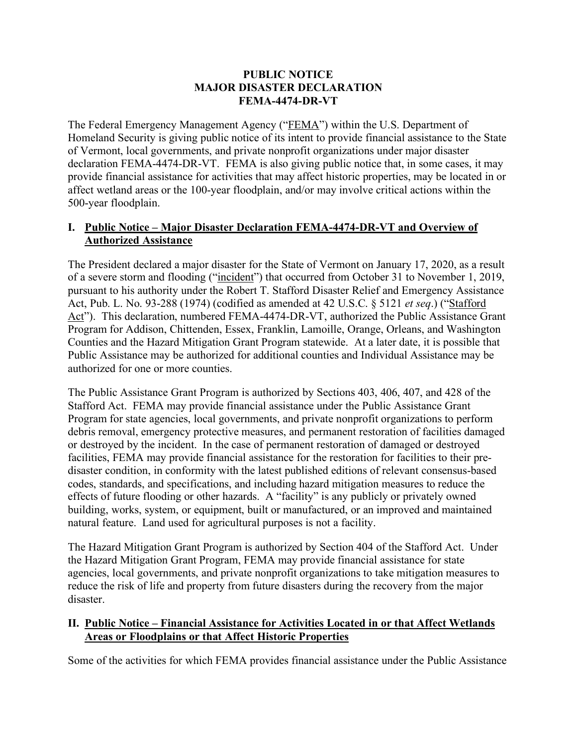### **PUBLIC NOTICE MAJOR DISASTER DECLARATION FEMA-4474-DR-VT**

The Federal Emergency Management Agency ("FEMA") within the U.S. Department of Homeland Security is giving public notice of its intent to provide financial assistance to the State of Vermont, local governments, and private nonprofit organizations under major disaster declaration FEMA-4474-DR-VT. FEMA is also giving public notice that, in some cases, it may provide financial assistance for activities that may affect historic properties, may be located in or affect wetland areas or the 100-year floodplain, and/or may involve critical actions within the 500-year floodplain.

## **I. Public Notice – Major Disaster Declaration FEMA-4474-DR-VT and Overview of Authorized Assistance**

The President declared a major disaster for the State of Vermont on January 17, 2020, as a result of a severe storm and flooding ("incident") that occurred from October 31 to November 1, 2019, pursuant to his authority under the Robert T. Stafford Disaster Relief and Emergency Assistance Act, Pub. L. No. 93-288 (1974) (codified as amended at 42 U.S.C. § 5121 *et seq*.) ("Stafford Act"). This declaration, numbered FEMA-4474-DR-VT, authorized the Public Assistance Grant Program for Addison, Chittenden, Essex, Franklin, Lamoille, Orange, Orleans, and Washington Counties and the Hazard Mitigation Grant Program statewide. At a later date, it is possible that Public Assistance may be authorized for additional counties and Individual Assistance may be authorized for one or more counties.

The Public Assistance Grant Program is authorized by Sections 403, 406, 407, and 428 of the Stafford Act. FEMA may provide financial assistance under the Public Assistance Grant Program for state agencies, local governments, and private nonprofit organizations to perform debris removal, emergency protective measures, and permanent restoration of facilities damaged or destroyed by the incident. In the case of permanent restoration of damaged or destroyed facilities, FEMA may provide financial assistance for the restoration for facilities to their predisaster condition, in conformity with the latest published editions of relevant consensus-based codes, standards, and specifications, and including hazard mitigation measures to reduce the effects of future flooding or other hazards. A "facility" is any publicly or privately owned building, works, system, or equipment, built or manufactured, or an improved and maintained natural feature. Land used for agricultural purposes is not a facility.

The Hazard Mitigation Grant Program is authorized by Section 404 of the Stafford Act. Under the Hazard Mitigation Grant Program, FEMA may provide financial assistance for state agencies, local governments, and private nonprofit organizations to take mitigation measures to reduce the risk of life and property from future disasters during the recovery from the major disaster.

# **II. Public Notice – Financial Assistance for Activities Located in or that Affect Wetlands Areas or Floodplains or that Affect Historic Properties**

Some of the activities for which FEMA provides financial assistance under the Public Assistance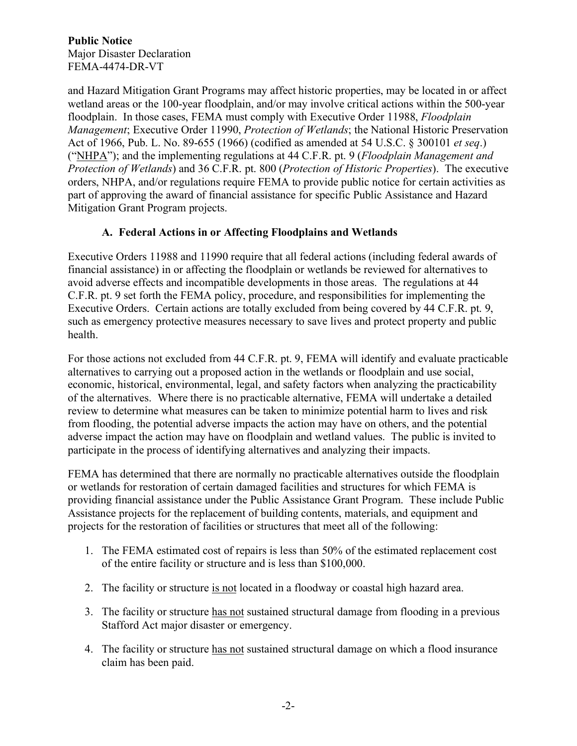#### **Public Notice** Major Disaster Declaration FEMA-4474-DR-VT

and Hazard Mitigation Grant Programs may affect historic properties, may be located in or affect wetland areas or the 100-year floodplain, and/or may involve critical actions within the 500-year floodplain. In those cases, FEMA must comply with Executive Order 11988, *Floodplain Management*; Executive Order 11990, *Protection of Wetlands*; the National Historic Preservation Act of 1966, Pub. L. No. 89-655 (1966) (codified as amended at 54 U.S.C. § 300101 *et seq*.) ("NHPA"); and the implementing regulations at 44 C.F.R. pt. 9 (*Floodplain Management and Protection of Wetlands*) and 36 C.F.R. pt. 800 (*Protection of Historic Properties*). The executive orders, NHPA, and/or regulations require FEMA to provide public notice for certain activities as part of approving the award of financial assistance for specific Public Assistance and Hazard Mitigation Grant Program projects.

## **A. Federal Actions in or Affecting Floodplains and Wetlands**

Executive Orders 11988 and 11990 require that all federal actions (including federal awards of financial assistance) in or affecting the floodplain or wetlands be reviewed for alternatives to avoid adverse effects and incompatible developments in those areas. The regulations at 44 C.F.R. pt. 9 set forth the FEMA policy, procedure, and responsibilities for implementing the Executive Orders. Certain actions are totally excluded from being covered by 44 C.F.R. pt. 9, such as emergency protective measures necessary to save lives and protect property and public health.

For those actions not excluded from 44 C.F.R. pt. 9, FEMA will identify and evaluate practicable alternatives to carrying out a proposed action in the wetlands or floodplain and use social, economic, historical, environmental, legal, and safety factors when analyzing the practicability of the alternatives. Where there is no practicable alternative, FEMA will undertake a detailed review to determine what measures can be taken to minimize potential harm to lives and risk from flooding, the potential adverse impacts the action may have on others, and the potential adverse impact the action may have on floodplain and wetland values. The public is invited to participate in the process of identifying alternatives and analyzing their impacts.

FEMA has determined that there are normally no practicable alternatives outside the floodplain or wetlands for restoration of certain damaged facilities and structures for which FEMA is providing financial assistance under the Public Assistance Grant Program. These include Public Assistance projects for the replacement of building contents, materials, and equipment and projects for the restoration of facilities or structures that meet all of the following:

- 1. The FEMA estimated cost of repairs is less than 50% of the estimated replacement cost of the entire facility or structure and is less than \$100,000.
- 2. The facility or structure is not located in a floodway or coastal high hazard area.
- 3. The facility or structure has not sustained structural damage from flooding in a previous Stafford Act major disaster or emergency.
- 4. The facility or structure has not sustained structural damage on which a flood insurance claim has been paid.